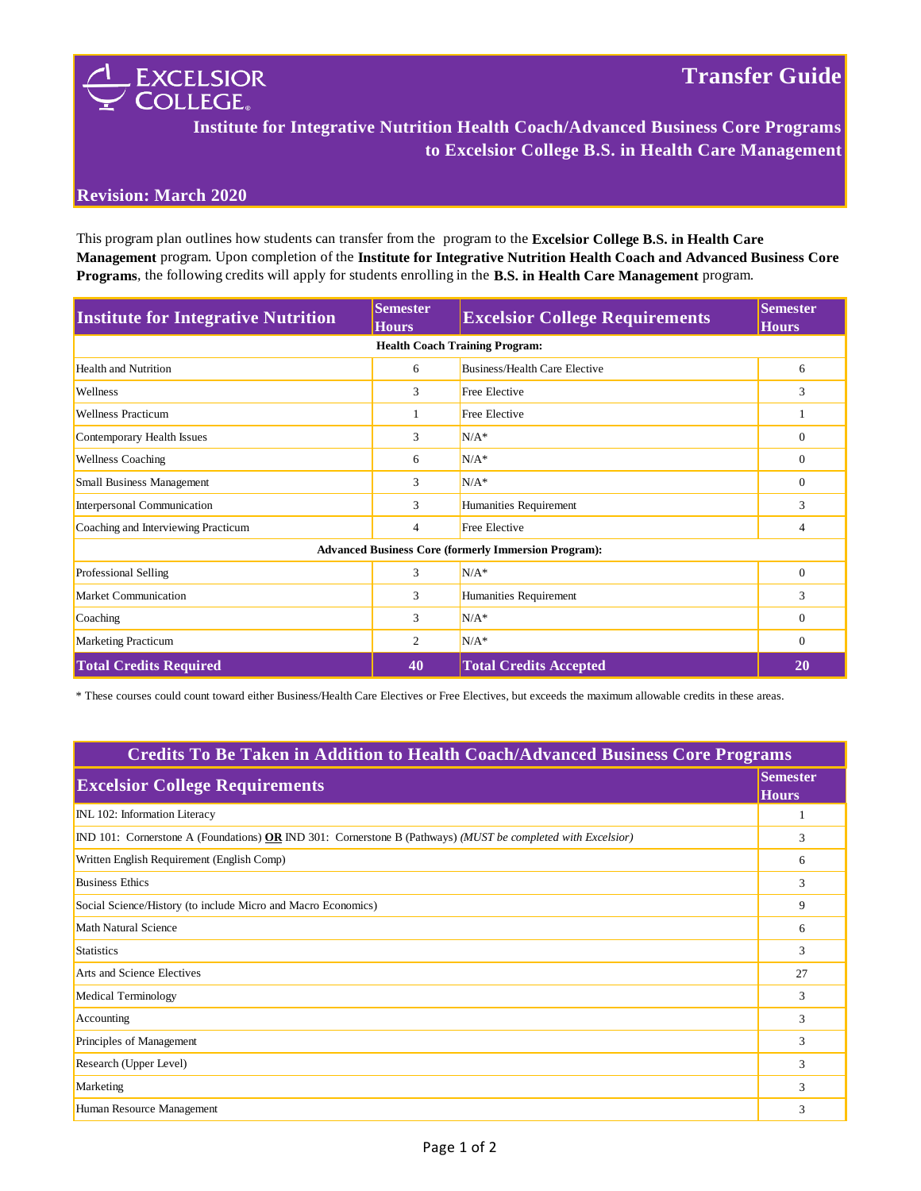

**Institute for Integrative Nutrition Health Coach/Advanced Business Core Programs to Excelsior College B.S. in Health Care Management**

## **Revision: March 2020**

This program plan outlines how students can transfer from the program to the **Excelsior College B.S. in Health Care Management** program. Upon completion of the **Institute for Integrative Nutrition Health Coach and Advanced Business Core Programs**, the following credits will apply for students enrolling in the **B.S. in Health Care Management** program.

| <b>Institute for Integrative Nutrition</b>                  | <b>Semester</b><br><b>Hours</b> | <b>Excelsior College Requirements</b> | <b>Semester</b><br><b>Hours</b> |  |  |
|-------------------------------------------------------------|---------------------------------|---------------------------------------|---------------------------------|--|--|
| <b>Health Coach Training Program:</b>                       |                                 |                                       |                                 |  |  |
| <b>Health and Nutrition</b>                                 | 6                               | <b>Business/Health Care Elective</b>  | 6                               |  |  |
| Wellness                                                    | 3                               | <b>Free Elective</b>                  | 3                               |  |  |
| <b>Wellness Practicum</b>                                   |                                 | <b>Free Elective</b>                  |                                 |  |  |
| Contemporary Health Issues                                  | 3                               | $N/A^*$                               | $\mathbf{0}$                    |  |  |
| <b>Wellness Coaching</b>                                    | 6                               | $N/A^*$                               | $\mathbf{0}$                    |  |  |
| <b>Small Business Management</b>                            | 3                               | $N/A^*$                               | $\mathbf{0}$                    |  |  |
| Interpersonal Communication                                 | 3                               | Humanities Requirement                | 3                               |  |  |
| Coaching and Interviewing Practicum                         | 4                               | <b>Free Elective</b>                  | 4                               |  |  |
| <b>Advanced Business Core (formerly Immersion Program):</b> |                                 |                                       |                                 |  |  |
| Professional Selling                                        | 3                               | $N/A^*$                               | $\overline{0}$                  |  |  |
| Market Communication                                        | 3                               | Humanities Requirement                | 3                               |  |  |
| Coaching                                                    | 3                               | $N/A^*$                               | $\mathbf{0}$                    |  |  |
| <b>Marketing Practicum</b>                                  | 2                               | $N/A^*$                               | $\Omega$                        |  |  |
| <b>Total Credits Required</b>                               | 40                              | <b>Total Credits Accepted</b>         | 20                              |  |  |

\* These courses could count toward either Business/Health Care Electives or Free Electives, but exceeds the maximum allowable credits in these areas.

| <b>Credits To Be Taken in Addition to Health Coach/Advanced Business Core Programs</b>                       |                                 |  |
|--------------------------------------------------------------------------------------------------------------|---------------------------------|--|
| <b>Excelsior College Requirements</b>                                                                        | <b>Semester</b><br><b>Hours</b> |  |
| INL 102: Information Literacy                                                                                |                                 |  |
| IND 101: Cornerstone A (Foundations) OR IND 301: Cornerstone B (Pathways) (MUST be completed with Excelsior) | 3                               |  |
| Written English Requirement (English Comp)                                                                   | 6                               |  |
| <b>Business Ethics</b>                                                                                       | 3                               |  |
| Social Science/History (to include Micro and Macro Economics)                                                | 9                               |  |
| Math Natural Science                                                                                         | 6                               |  |
| <b>Statistics</b>                                                                                            | 3                               |  |
| Arts and Science Electives                                                                                   | 27                              |  |
| Medical Terminology                                                                                          | 3                               |  |
| Accounting                                                                                                   | 3                               |  |
| Principles of Management                                                                                     | 3                               |  |
| Research (Upper Level)                                                                                       | 3                               |  |
| Marketing                                                                                                    | 3                               |  |
| Human Resource Management                                                                                    | 3                               |  |